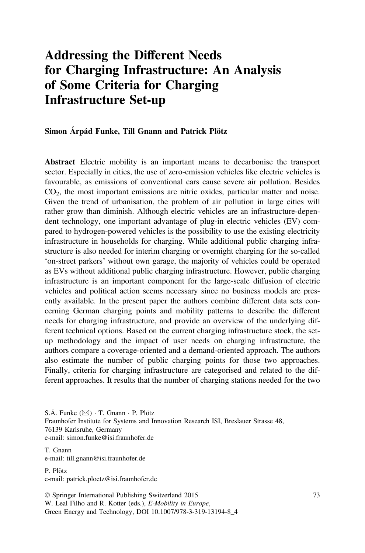# Addressing the Different Needs for Charging Infrastructure: An Analysis of Some Criteria for Charging Infrastructure Set-up

### Simon Árpád Funke, Till Gnann and Patrick Plötz

Abstract Electric mobility is an important means to decarbonise the transport sector. Especially in cities, the use of zero-emission vehicles like electric vehicles is favourable, as emissions of conventional cars cause severe air pollution. Besides  $CO<sub>2</sub>$ , the most important emissions are nitric oxides, particular matter and noise. Given the trend of urbanisation, the problem of air pollution in large cities will rather grow than diminish. Although electric vehicles are an infrastructure-dependent technology, one important advantage of plug-in electric vehicles (EV) compared to hydrogen-powered vehicles is the possibility to use the existing electricity infrastructure in households for charging. While additional public charging infrastructure is also needed for interim charging or overnight charging for the so-called 'on-street parkers' without own garage, the majority of vehicles could be operated as EVs without additional public charging infrastructure. However, public charging infrastructure is an important component for the large-scale diffusion of electric vehicles and political action seems necessary since no business models are presently available. In the present paper the authors combine different data sets concerning German charging points and mobility patterns to describe the different needs for charging infrastructure, and provide an overview of the underlying different technical options. Based on the current charging infrastructure stock, the setup methodology and the impact of user needs on charging infrastructure, the authors compare a coverage-oriented and a demand-oriented approach. The authors also estimate the number of public charging points for those two approaches. Finally, criteria for charging infrastructure are categorised and related to the different approaches. It results that the number of charging stations needed for the two

Fraunhofer Institute for Systems and Innovation Research ISI, Breslauer Strasse 48, 76139 Karlsruhe, Germany e-mail: simon.funke@isi.fraunhofer.de

T. Gnann e-mail: till.gnann@isi.fraunhofer.de

P. Plötz e-mail: patrick.ploetz@isi.fraunhofer.de

© Springer International Publishing Switzerland 2015 W. Leal Filho and R. Kotter (eds.), E-Mobility in Europe, Green Energy and Technology, DOI 10.1007/978-3-319-13194-8\_4

S.Á. Funke  $(\boxtimes)$  · T. Gnann · P. Plötz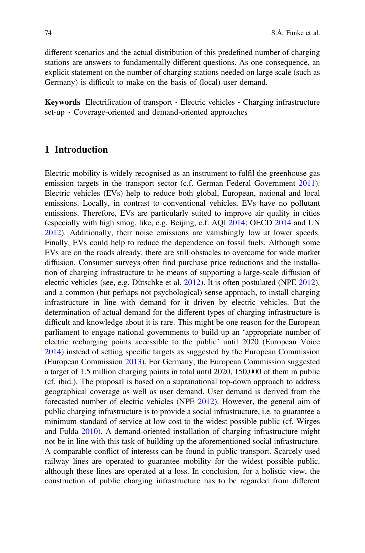<span id="page-1-0"></span>different scenarios and the actual distribution of this predefined number of charging stations are answers to fundamentally different questions. As one consequence, an explicit statement on the number of charging stations needed on large scale (such as Germany) is difficult to make on the basis of (local) user demand.

Keywords Electrification of transport Electric vehicles Charging infrastructure set-up • Coverage-oriented and demand-oriented approaches

# 1 Introduction

Electric mobility is widely recognised as an instrument to fulfil the greenhouse gas emission targets in the transport sector (c.f. German Federal Government [2011\)](#page-15-0). Electric vehicles (EVs) help to reduce both global, European, national and local emissions. Locally, in contrast to conventional vehicles, EVs have no pollutant emissions. Therefore, EVs are particularly suited to improve air quality in cities (especially with high smog, like, e.g. Beijing, c.f. AQI [2014](#page-14-0); OECD [2014](#page-16-0) and UN [2012\)](#page-17-0). Additionally, their noise emissions are vanishingly low at lower speeds. Finally, EVs could help to reduce the dependence on fossil fuels. Although some EVs are on the roads already, there are still obstacles to overcome for wide market diffusion. Consumer surveys often find purchase price reductions and the installation of charging infrastructure to be means of supporting a large-scale diffusion of electric vehicles (see, e.g. Dütschke et al. [2012\)](#page-15-0). It is often postulated (NPE [2012\)](#page-16-0), and a common (but perhaps not psychological) sense approach, to install charging infrastructure in line with demand for it driven by electric vehicles. But the determination of actual demand for the different types of charging infrastructure is difficult and knowledge about it is rare. This might be one reason for the European parliament to engage national governments to build up an 'appropriate number of electric recharging points accessible to the public' until 2020 (European Voice [2014\)](#page-15-0) instead of setting specific targets as suggested by the European Commission (European Commission [2013\)](#page-15-0). For Germany, the European Commission suggested a target of 1.5 million charging points in total until 2020, 150,000 of them in public (cf. ibid.). The proposal is based on a supranational top-down approach to address geographical coverage as well as user demand. User demand is derived from the forecasted number of electric vehicles (NPE [2012](#page-16-0)). However, the general aim of public charging infrastructure is to provide a social infrastructure, i.e. to guarantee a minimum standard of service at low cost to the widest possible public (cf. Wirges and Fulda [2010\)](#page-17-0). A demand-oriented installation of charging infrastructure might not be in line with this task of building up the aforementioned social infrastructure. A comparable conflict of interests can be found in public transport. Scarcely used railway lines are operated to guarantee mobility for the widest possible public, although these lines are operated at a loss. In conclusion, for a holistic view, the construction of public charging infrastructure has to be regarded from different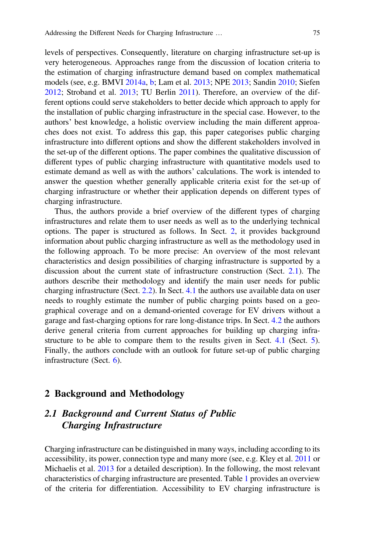<span id="page-2-0"></span>levels of perspectives. Consequently, literature on charging infrastructure set-up is very heterogeneous. Approaches range from the discussion of location criteria to the estimation of charging infrastructure demand based on complex mathematical models (see, e.g. BMVI [2014a,](#page-14-0) [b;](#page-15-0) Lam et al. [2013](#page-16-0); NPE [2013;](#page-16-0) Sandin [2010](#page-16-0); Siefen [2012;](#page-17-0) Stroband et al. [2013;](#page-17-0) TU Berlin [2011\)](#page-17-0). Therefore, an overview of the different options could serve stakeholders to better decide which approach to apply for the installation of public charging infrastructure in the special case. However, to the authors' best knowledge, a holistic overview including the main different approaches does not exist. To address this gap, this paper categorises public charging infrastructure into different options and show the different stakeholders involved in the set-up of the different options. The paper combines the qualitative discussion of different types of public charging infrastructure with quantitative models used to estimate demand as well as with the authors' calculations. The work is intended to answer the question whether generally applicable criteria exist for the set-up of charging infrastructure or whether their application depends on different types of charging infrastructure.

Thus, the authors provide a brief overview of the different types of charging infrastructures and relate them to user needs as well as to the underlying technical options. The paper is structured as follows. In Sect. 2, it provides background information about public charging infrastructure as well as the methodology used in the following approach. To be more precise: An overview of the most relevant characteristics and design possibilities of charging infrastructure is supported by a discussion about the current state of infrastructure construction (Sect. 2.1). The authors describe their methodology and identify the main user needs for public charging infrastructure (Sect. [2.2\)](#page-4-0). In Sect. [4.1](#page-6-0) the authors use available data on user needs to roughly estimate the number of public charging points based on a geographical coverage and on a demand-oriented coverage for EV drivers without a garage and fast-charging options for rare long-distance trips. In Sect. [4.2](#page-9-0) the authors derive general criteria from current approaches for building up charging infrastructure to be able to compare them to the results given in Sect. [4.1](#page-6-0) (Sect. [5\)](#page-12-0). Finally, the authors conclude with an outlook for future set-up of public charging infrastructure (Sect. [6](#page-13-0)).

#### 2 Background and Methodology

# 2.1 Background and Current Status of Public Charging Infrastructure

Charging infrastructure can be distinguished in many ways, including according to its accessibility, its power, connection type and many more (see, e.g. Kley et al. [2011](#page-16-0) or Michaelis et al. [2013](#page-16-0) for a detailed description). In the following, the most relevant characteristics of charging infrastructure are presented. Table [1](#page-3-0) provides an overview of the criteria for differentiation. Accessibility to EV charging infrastructure is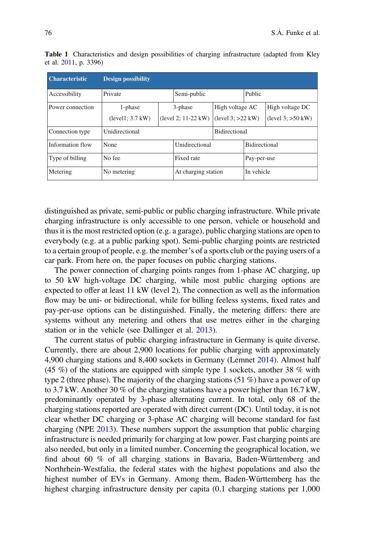| <b>Characteristic</b> | <b>Design possibility</b> |  |                       |                   |                      |                   |
|-----------------------|---------------------------|--|-----------------------|-------------------|----------------------|-------------------|
| Accessibility         | Private                   |  | Semi-public           |                   | Public               |                   |
| Power connection      | 1-phase                   |  | 3-phase               | High voltage AC   |                      | High voltage DC   |
|                       | (level: 3.7 kW)           |  | $(level 2; 11-22 kW)$ | (level 3; >22 kW) |                      | (level 3; >50 kW) |
| Connection type       | Unidirectional            |  | <b>Bidirectional</b>  |                   |                      |                   |
| Information flow      | None                      |  | Unidirectional        |                   | <b>Bidirectional</b> |                   |
| Type of billing       | No fee                    |  | Fixed rate            |                   | Pay-per-use          |                   |
| Metering              | No metering               |  | At charging station   |                   | In vehicle           |                   |

<span id="page-3-0"></span>Table 1 Characteristics and design possibilities of charging infrastructure (adapted from Kley et al. [2011,](#page-16-0) p. 3396)

distinguished as private, semi-public or public charging infrastructure. While private charging infrastructure is only accessible to one person, vehicle or household and thus it is the most restricted option (e.g. a garage), public charging stations are open to everybody (e.g. at a public parking spot). Semi-public charging points are restricted to a certain group of people, e.g. the member's of a sports club or the paying users of a car park. From here on, the paper focuses on public charging stations.

The power connection of charging points ranges from 1-phase AC charging, up to 50 kW high-voltage DC charging, while most public charging options are expected to offer at least 11 kW (level 2). The connection as well as the information flow may be uni- or bidirectional, while for billing feeless systems, fixed rates and pay-per-use options can be distinguished. Finally, the metering differs: there are systems without any metering and others that use metres either in the charging station or in the vehicle (see Dallinger et al. [2013](#page-15-0)).

The current status of public charging infrastructure in Germany is quite diverse. Currently, there are about 2,900 locations for public charging with approximately 4,900 charging stations and 8,400 sockets in Germany (Lemnet [2014\)](#page-16-0). Almost half (45 %) of the stations are equipped with simple type 1 sockets, another 38 % with type 2 (three phase). The majority of the charging stations (51 %) have a power of up to 3.7 kW. Another 30 % of the charging stations have a power higher than 16.7 kW, predominantly operated by 3-phase alternating current. In total, only 68 of the charging stations reported are operated with direct current (DC). Until today, it is not clear whether DC charging or 3-phase AC charging will become standard for fast charging (NPE [2013\)](#page-16-0). These numbers support the assumption that public charging infrastructure is needed primarily for charging at low power. Fast charging points are also needed, but only in a limited number. Concerning the geographical location, we find about 60 % of all charging stations in Bavaria, Baden-Württemberg and Northrhein-Westfalia, the federal states with the highest populations and also the highest number of EVs in Germany. Among them, Baden-Württemberg has the highest charging infrastructure density per capita (0.1 charging stations per 1,000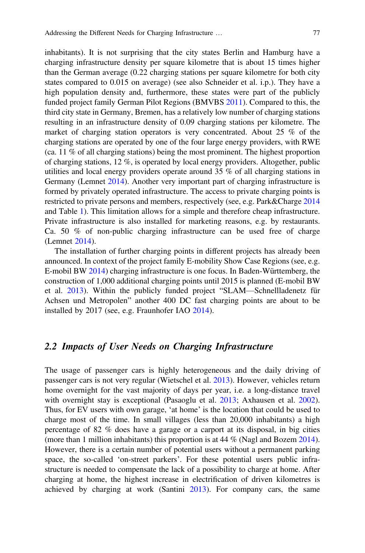<span id="page-4-0"></span>inhabitants). It is not surprising that the city states Berlin and Hamburg have a charging infrastructure density per square kilometre that is about 15 times higher than the German average (0.22 charging stations per square kilometre for both city states compared to 0.015 on average) (see also Schneider et al. i.p.). They have a high population density and, furthermore, these states were part of the publicly funded project family German Pilot Regions (BMVBS [2011](#page-14-0)). Compared to this, the third city state in Germany, Bremen, has a relatively low number of charging stations resulting in an infrastructure density of 0.09 charging stations per kilometre. The market of charging station operators is very concentrated. About 25 % of the charging stations are operated by one of the four large energy providers, with RWE (ca. 11 % of all charging stations) being the most prominent. The highest proportion of charging stations, 12 %, is operated by local energy providers. Altogether, public utilities and local energy providers operate around 35 % of all charging stations in Germany (Lemnet [2014\)](#page-16-0). Another very important part of charging infrastructure is formed by privately operated infrastructure. The access to private charging points is restricted to private persons and members, respectively (see, e.g. Park&Charge [2014](#page-16-0) and Table [1](#page-3-0)). This limitation allows for a simple and therefore cheap infrastructure. Private infrastructure is also installed for marketing reasons, e.g. by restaurants. Ca. 50 % of non-public charging infrastructure can be used free of charge (Lemnet [2014](#page-16-0)).

The installation of further charging points in different projects has already been announced. In context of the project family E-mobility Show Case Regions (see, e.g. E-mobil BW [2014\)](#page-15-0) charging infrastructure is one focus. In Baden-Württemberg, the construction of 1,000 additional charging points until 2015 is planned (E-mobil BW et al. [2013\)](#page-15-0). Within the publicly funded project "SLAM—Schnellladenetz für Achsen und Metropolen" another 400 DC fast charging points are about to be installed by 2017 (see, e.g. Fraunhofer IAO [2014](#page-15-0)).

## 2.2 Impacts of User Needs on Charging Infrastructure

The usage of passenger cars is highly heterogeneous and the daily driving of passenger cars is not very regular (Wietschel et al. [2013](#page-17-0)). However, vehicles return home overnight for the vast majority of days per year, i.e. a long-distance travel with overnight stay is exceptional (Pasaoglu et al. [2013;](#page-16-0) Axhausen et al. [2002\)](#page-14-0). Thus, for EV users with own garage, 'at home' is the location that could be used to charge most of the time. In small villages (less than 20,000 inhabitants) a high percentage of 82 % does have a garage or a carport at its disposal, in big cities (more than 1 million inhabitants) this proportion is at 44 % (Nagl and Bozem [2014\)](#page-16-0). However, there is a certain number of potential users without a permanent parking space, the so-called 'on-street parkers'. For these potential users public infrastructure is needed to compensate the lack of a possibility to charge at home. After charging at home, the highest increase in electrification of driven kilometres is achieved by charging at work (Santini  $2013$ ). For company cars, the same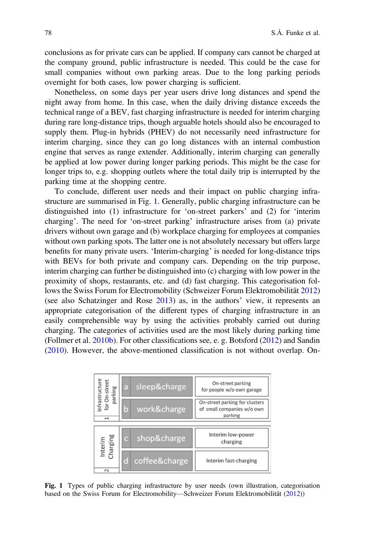<span id="page-5-0"></span>conclusions as for private cars can be applied. If company cars cannot be charged at the company ground, public infrastructure is needed. This could be the case for small companies without own parking areas. Due to the long parking periods overnight for both cases, low power charging is sufficient.

Nonetheless, on some days per year users drive long distances and spend the night away from home. In this case, when the daily driving distance exceeds the technical range of a BEV, fast charging infrastructure is needed for interim charging during rare long-distance trips, though arguable hotels should also be encouraged to supply them. Plug-in hybrids (PHEV) do not necessarily need infrastructure for interim charging, since they can go long distances with an internal combustion engine that serves as range extender. Additionally, interim charging can generally be applied at low power during longer parking periods. This might be the case for longer trips to, e.g. shopping outlets where the total daily trip is interrupted by the parking time at the shopping centre.

To conclude, different user needs and their impact on public charging infrastructure are summarised in Fig. 1. Generally, public charging infrastructure can be distinguished into (1) infrastructure for 'on-street parkers' and (2) for 'interim charging'. The need for 'on-street parking' infrastructure arises from (a) private drivers without own garage and (b) workplace charging for employees at companies without own parking spots. The latter one is not absolutely necessary but offers large benefits for many private users. 'Interim-charging' is needed for long-distance trips with BEVs for both private and company cars. Depending on the trip purpose, interim charging can further be distinguished into (c) charging with low power in the proximity of shops, restaurants, etc. and (d) fast charging. This categorisation follows the Swiss Forum for Electromobility (Schweizer Forum Elektromobilität [2012](#page-17-0)) (see also Schatzinger and Rose [2013](#page-16-0)) as, in the authors' view, it represents an appropriate categorisation of the different types of charging infrastructure in an easily comprehensible way by using the activities probably carried out during charging. The categories of activities used are the most likely during parking time (Follmer et al. [2010b](#page-15-0)). For other classifications see, e. g. Botsford [\(2012](#page-14-0)) and Sandin [\(2010](#page-16-0)). However, the above-mentioned classification is not without overlap. On-



Fig. 1 Types of public charging infrastructure by user needs (own illustration, categorisation based on the Swiss Forum for Electromobility—Schweizer Forum Elektromobilität ([2012](#page-17-0)))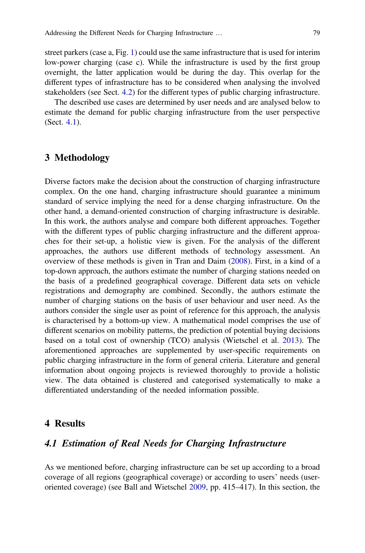<span id="page-6-0"></span>street parkers (case a, Fig. [1](#page-5-0)) could use the same infrastructure that is used for interim low-power charging (case c). While the infrastructure is used by the first group overnight, the latter application would be during the day. This overlap for the different types of infrastructure has to be considered when analysing the involved stakeholders (see Sect. [4.2](#page-9-0)) for the different types of public charging infrastructure.

The described use cases are determined by user needs and are analysed below to estimate the demand for public charging infrastructure from the user perspective (Sect. 4.1).

## 3 Methodology

Diverse factors make the decision about the construction of charging infrastructure complex. On the one hand, charging infrastructure should guarantee a minimum standard of service implying the need for a dense charging infrastructure. On the other hand, a demand-oriented construction of charging infrastructure is desirable. In this work, the authors analyse and compare both different approaches. Together with the different types of public charging infrastructure and the different approaches for their set-up, a holistic view is given. For the analysis of the different approaches, the authors use different methods of technology assessment. An overview of these methods is given in Tran and Daim [\(2008](#page-17-0)). First, in a kind of a top-down approach, the authors estimate the number of charging stations needed on the basis of a predefined geographical coverage. Different data sets on vehicle registrations and demography are combined. Secondly, the authors estimate the number of charging stations on the basis of user behaviour and user need. As the authors consider the single user as point of reference for this approach, the analysis is characterised by a bottom-up view. A mathematical model comprises the use of different scenarios on mobility patterns, the prediction of potential buying decisions based on a total cost of ownership (TCO) analysis (Wietschel et al. [2013](#page-17-0)). The aforementioned approaches are supplemented by user-specific requirements on public charging infrastructure in the form of general criteria. Literature and general information about ongoing projects is reviewed thoroughly to provide a holistic view. The data obtained is clustered and categorised systematically to make a differentiated understanding of the needed information possible.

## 4 Results

## 4.1 Estimation of Real Needs for Charging Infrastructure

As we mentioned before, charging infrastructure can be set up according to a broad coverage of all regions (geographical coverage) or according to users' needs (useroriented coverage) (see Ball and Wietschel [2009,](#page-14-0) pp. 415–417). In this section, the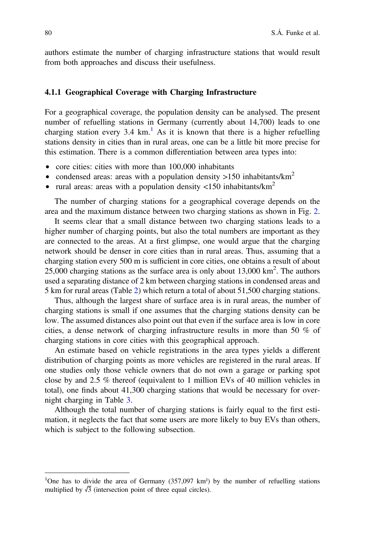authors estimate the number of charging infrastructure stations that would result from both approaches and discuss their usefulness.

#### 4.1.1 Geographical Coverage with Charging Infrastructure

For a geographical coverage, the population density can be analysed. The present number of refuelling stations in Germany (currently about 14,700) leads to one charging station every 3.4 km.<sup>1</sup> As it is known that there is a higher refuelling stations density in cities than in rural areas, one can be a little bit more precise for this estimation. There is a common differentiation between area types into:

- core cities: cities with more than 100,000 inhabitants
- condensed areas: areas with a population density  $>150$  inhabitants/km<sup>2</sup>
- rural areas: areas with a population density  $\langle 150 \rangle$  inhabitants/km<sup>2</sup>

The number of charging stations for a geographical coverage depends on the area and the maximum distance between two charging stations as shown in Fig. [2](#page-8-0).

It seems clear that a small distance between two charging stations leads to a higher number of charging points, but also the total numbers are important as they are connected to the areas. At a first glimpse, one would argue that the charging network should be denser in core cities than in rural areas. Thus, assuming that a charging station every 500 m is sufficient in core cities, one obtains a result of about 25,000 charging stations as the surface area is only about  $13,000 \text{ km}^2$ . The authors used a separating distance of 2 km between charging stations in condensed areas and 5 km for rural areas (Table [2\)](#page-8-0) which return a total of about 51,500 charging stations.

Thus, although the largest share of surface area is in rural areas, the number of charging stations is small if one assumes that the charging stations density can be low. The assumed distances also point out that even if the surface area is low in core cities, a dense network of charging infrastructure results in more than 50 % of charging stations in core cities with this geographical approach.

An estimate based on vehicle registrations in the area types yields a different distribution of charging points as more vehicles are registered in the rural areas. If one studies only those vehicle owners that do not own a garage or parking spot close by and 2.5 % thereof (equivalent to 1 million EVs of 40 million vehicles in total), one finds about 41,300 charging stations that would be necessary for overnight charging in Table [3](#page-8-0).

Although the total number of charging stations is fairly equal to the first estimation, it neglects the fact that some users are more likely to buy EVs than others, which is subject to the following subsection.

<sup>&</sup>lt;sup>1</sup>One has to divide the area of Germany  $(357,097 \text{ km}^2)$  by the number of refuelling stations multiplied by  $\sqrt{3}$  (intersection point of three equal circles).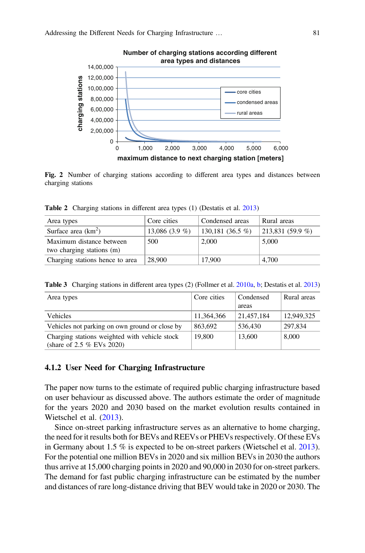<span id="page-8-0"></span>

**Number of charging stations according different** 

Fig. 2 Number of charging stations according to different area types and distances between charging stations

Table 2 Charging stations in different area types (1) (Destatis et al. [2013](#page-15-0))

| Area types                                            | Core cities      | Condensed areas   | Rural areas        |
|-------------------------------------------------------|------------------|-------------------|--------------------|
| Surface area $(km^2)$                                 | 13,086 $(3.9\%)$ | 130,181 $(36.5\%$ | $ 213,831(59.9\%)$ |
| Maximum distance between<br>two charging stations (m) | 500              | 2,000             | 5,000              |
| Charging stations hence to area                       | 28,900           | 17,900            | 4.700              |

Table 3 Charging stations in different area types (2) (Follmer et al. [2010a](#page-15-0), [b;](#page-15-0) Destatis et al. [2013\)](#page-15-0)

| Area types                                                                   | Core cities | Condensed<br>areas | Rural areas |
|------------------------------------------------------------------------------|-------------|--------------------|-------------|
| <b>Vehicles</b>                                                              | 11,364,366  | 21,457,184         | 12,949,325  |
| Vehicles not parking on own ground or close by                               | 863.692     | 536,430            | 297,834     |
| Charging stations weighted with vehicle stock<br>(share of 2.5 $%$ EVs 2020) | 19,800      | 13,600             | 8.000       |

#### 4.1.2 User Need for Charging Infrastructure

The paper now turns to the estimate of required public charging infrastructure based on user behaviour as discussed above. The authors estimate the order of magnitude for the years 2020 and 2030 based on the market evolution results contained in Wietschel et al. [\(2013](#page-17-0)).

Since on-street parking infrastructure serves as an alternative to home charging, the need for it results both for BEVs and REEVs or PHEVs respectively. Of these EVs in Germany about 1.5 % is expected to be on-street parkers (Wietschel et al. [2013\)](#page-17-0). For the potential one million BEVs in 2020 and six million BEVs in 2030 the authors thus arrive at 15,000 charging points in 2020 and 90,000 in 2030 for on-street parkers. The demand for fast public charging infrastructure can be estimated by the number and distances of rare long-distance driving that BEV would take in 2020 or 2030. The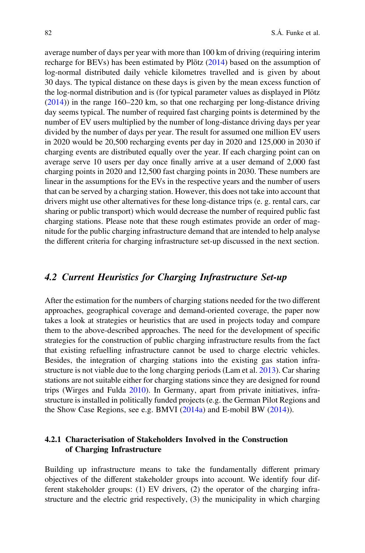<span id="page-9-0"></span>average number of days per year with more than 100 km of driving (requiring interim recharge for BEVs) has been estimated by Plötz ([2014\)](#page-16-0) based on the assumption of log-normal distributed daily vehicle kilometres travelled and is given by about 30 days. The typical distance on these days is given by the mean excess function of the log-normal distribution and is (for typical parameter values as displayed in Plötz [\(2014](#page-16-0))) in the range 160–220 km, so that one recharging per long-distance driving day seems typical. The number of required fast charging points is determined by the number of EV users multiplied by the number of long-distance driving days per year divided by the number of days per year. The result for assumed one million EV users in 2020 would be 20,500 recharging events per day in 2020 and 125,000 in 2030 if charging events are distributed equally over the year. If each charging point can on average serve 10 users per day once finally arrive at a user demand of 2,000 fast charging points in 2020 and 12,500 fast charging points in 2030. These numbers are linear in the assumptions for the EVs in the respective years and the number of users that can be served by a charging station. However, this does not take into account that drivers might use other alternatives for these long-distance trips (e. g. rental cars, car sharing or public transport) which would decrease the number of required public fast charging stations. Please note that these rough estimates provide an order of magnitude for the public charging infrastructure demand that are intended to help analyse the different criteria for charging infrastructure set-up discussed in the next section.

# 4.2 Current Heuristics for Charging Infrastructure Set-up

After the estimation for the numbers of charging stations needed for the two different approaches, geographical coverage and demand-oriented coverage, the paper now takes a look at strategies or heuristics that are used in projects today and compare them to the above-described approaches. The need for the development of specific strategies for the construction of public charging infrastructure results from the fact that existing refuelling infrastructure cannot be used to charge electric vehicles. Besides, the integration of charging stations into the existing gas station infrastructure is not viable due to the long charging periods (Lam et al. [2013](#page-16-0)). Car sharing stations are not suitable either for charging stations since they are designed for round trips (Wirges and Fulda [2010\)](#page-17-0). In Germany, apart from private initiatives, infrastructure is installed in politically funded projects (e.g. the German Pilot Regions and the Show Case Regions, see e.g. BMVI ([2014a](#page-14-0)) and E-mobil BW [\(2014](#page-15-0))).

## 4.2.1 Characterisation of Stakeholders Involved in the Construction of Charging Infrastructure

Building up infrastructure means to take the fundamentally different primary objectives of the different stakeholder groups into account. We identify four different stakeholder groups: (1) EV drivers, (2) the operator of the charging infrastructure and the electric grid respectively, (3) the municipality in which charging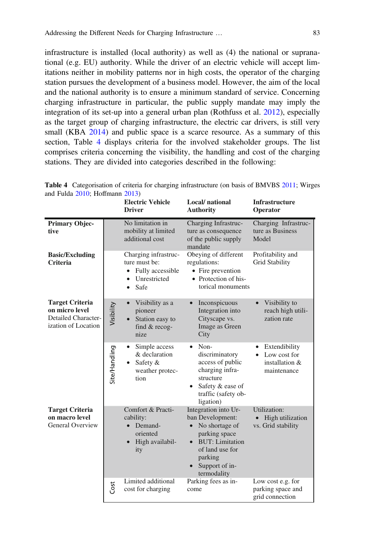infrastructure is installed (local authority) as well as (4) the national or supranational (e.g. EU) authority. While the driver of an electric vehicle will accept limitations neither in mobility patterns nor in high costs, the operator of the charging station pursues the development of a business model. However, the aim of the local and the national authority is to ensure a minimum standard of service. Concerning charging infrastructure in particular, the public supply mandate may imply the integration of its set-up into a general urban plan (Rothfuss et al. [2012](#page-16-0)), especially as the target group of charging infrastructure, the electric car drivers, is still very small (KBA [2014](#page-16-0)) and public space is a scarce resource. As a summary of this section, Table 4 displays criteria for the involved stakeholder groups. The list comprises criteria concerning the visibility, the handling and cost of the charging stations. They are divided into categories described in the following:

|                                                                                               |               | Electric Vehicle<br><b>Driver</b>                                                              | Local/ national<br><b>Authority</b>                                                                                                                                                 | Infrastructure<br>Operator                                     |
|-----------------------------------------------------------------------------------------------|---------------|------------------------------------------------------------------------------------------------|-------------------------------------------------------------------------------------------------------------------------------------------------------------------------------------|----------------------------------------------------------------|
| Primary Objec-<br>tive                                                                        |               | No limitation in<br>mobility at limited<br>additional cost                                     | Charging Infrastruc-<br>ture as consequence<br>of the public supply<br>mandate                                                                                                      | Charging Infrastruc-<br>ture as Business<br>Model              |
| <b>Basic/Excluding</b><br><b>Criteria</b>                                                     |               | Charging infrastruc-<br>ture must be:<br>Fully accessible<br>Unrestricted<br>Safe<br>$\bullet$ | Obeying of different<br>regulations:<br>• Fire prevention<br>• Protection of his-<br>torical monuments                                                                              | Profitability and<br><b>Grid Stability</b>                     |
| <b>Target Criteria</b><br>on micro level<br><b>Detailed Character-</b><br>ization of Location | Visibility    | Visibility as a<br>pioneer<br>Station easy to<br>find $&$ recog-<br>nize                       | Inconspicuous<br>Integration into<br>Cityscape vs.<br>Image as Green<br>City                                                                                                        | Visibility to<br>$\bullet$<br>reach high utili-<br>zation rate |
|                                                                                               | Site/Handling | Simple access<br>٠<br>& declaration<br>Safety &<br>$\bullet$<br>weather protec-<br>tion        | Non-<br>discriminatory<br>access of public<br>charging infra-<br>structure<br>Safety & ease of<br>traffic (safety ob-<br>ligation)                                                  | Extendibility<br>Low cost for<br>installation &<br>maintenance |
| <b>Target Criteria</b><br>on macro level<br>General Overview                                  |               | Comfort & Practi-<br>cability:<br>Demand-<br>$\bullet$<br>oriented<br>High availabil-<br>ity   | Integration into Ur-<br>ban Development:<br>• No shortage of<br>parking space<br><b>BUT:</b> Limitation<br>$\bullet$<br>of land use for<br>parking<br>Support of in-<br>termodality | Utilization:<br>• High utilization<br>vs. Grid stability       |
|                                                                                               | Cost          | Limited additional<br>cost for charging                                                        | Parking fees as in-<br>come                                                                                                                                                         | Low cost e.g. for<br>parking space and<br>grid connection      |

Table 4 Categorisation of criteria for charging infrastructure (on basis of BMVBS [2011;](#page-14-0) Wirges and Fulda [2010;](#page-17-0) Hoffmann [2013\)](#page-15-0)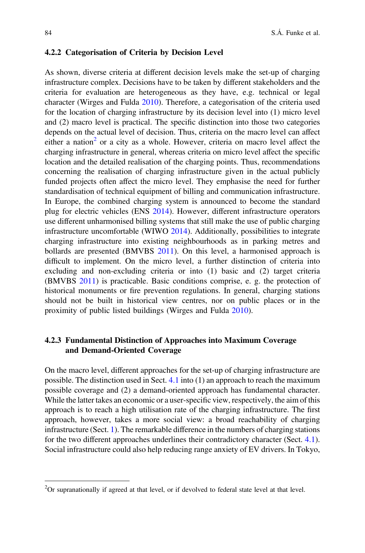#### 4.2.2 Categorisation of Criteria by Decision Level

As shown, diverse criteria at different decision levels make the set-up of charging infrastructure complex. Decisions have to be taken by different stakeholders and the criteria for evaluation are heterogeneous as they have, e.g. technical or legal character (Wirges and Fulda [2010\)](#page-17-0). Therefore, a categorisation of the criteria used for the location of charging infrastructure by its decision level into (1) micro level and (2) macro level is practical. The specific distinction into those two categories depends on the actual level of decision. Thus, criteria on the macro level can affect either a nation<sup>2</sup> or a city as a whole. However, criteria on macro level affect the charging infrastructure in general, whereas criteria on micro level affect the specific location and the detailed realisation of the charging points. Thus, recommendations concerning the realisation of charging infrastructure given in the actual publicly funded projects often affect the micro level. They emphasise the need for further standardisation of technical equipment of billing and communication infrastructure. In Europe, the combined charging system is announced to become the standard plug for electric vehicles (ENS [2014\)](#page-15-0). However, different infrastructure operators use different unharmonised billing systems that still make the use of public charging infrastructure uncomfortable (WIWO [2014\)](#page-17-0). Additionally, possibilities to integrate charging infrastructure into existing neighbourhoods as in parking metres and bollards are presented (BMVBS [2011\)](#page-14-0). On this level, a harmonised approach is difficult to implement. On the micro level, a further distinction of criteria into excluding and non-excluding criteria or into (1) basic and (2) target criteria (BMVBS [2011\)](#page-14-0) is practicable. Basic conditions comprise, e. g. the protection of historical monuments or fire prevention regulations. In general, charging stations should not be built in historical view centres, nor on public places or in the proximity of public listed buildings (Wirges and Fulda [2010](#page-17-0)).

## 4.2.3 Fundamental Distinction of Approaches into Maximum Coverage and Demand-Oriented Coverage

On the macro level, different approaches for the set-up of charging infrastructure are possible. The distinction used in Sect.  $4.1$  into  $(1)$  an approach to reach the maximum possible coverage and (2) a demand-oriented approach has fundamental character. While the latter takes an economic or a user-specific view, respectively, the aim of this approach is to reach a high utilisation rate of the charging infrastructure. The first approach, however, takes a more social view: a broad reachability of charging infrastructure (Sect. [1\)](#page-1-0). The remarkable difference in the numbers of charging stations for the two different approaches underlines their contradictory character (Sect. [4.1\)](#page-6-0). Social infrastructure could also help reducing range anxiety of EV drivers. In Tokyo,

<sup>&</sup>lt;sup>2</sup>Or supranationally if agreed at that level, or if devolved to federal state level at that level.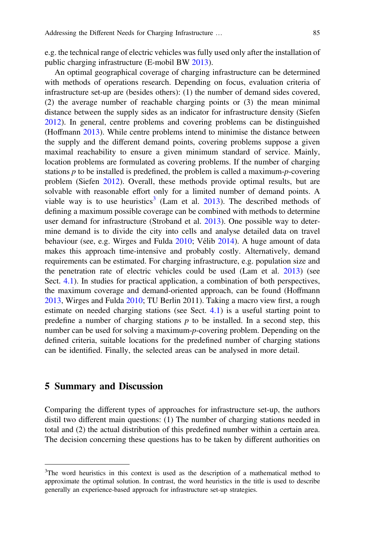<span id="page-12-0"></span>e.g. the technical range of electric vehicles was fully used only after the installation of public charging infrastructure (E-mobil BW [2013](#page-15-0)).

An optimal geographical coverage of charging infrastructure can be determined with methods of operations research. Depending on focus, evaluation criteria of infrastructure set-up are (besides others): (1) the number of demand sides covered, (2) the average number of reachable charging points or (3) the mean minimal distance between the supply sides as an indicator for infrastructure density (Siefen [2012\)](#page-17-0). In general, centre problems and covering problems can be distinguished (Hoffmann [2013](#page-15-0)). While centre problems intend to minimise the distance between the supply and the different demand points, covering problems suppose a given maximal reachability to ensure a given minimum standard of service. Mainly, location problems are formulated as covering problems. If the number of charging stations  $p$  to be installed is predefined, the problem is called a maximum- $p$ -covering problem (Siefen [2012](#page-17-0)). Overall, these methods provide optimal results, but are solvable with reasonable effort only for a limited number of demand points. A viable way is to use heuristics<sup>3</sup> (Lam et al. [2013](#page-16-0)). The described methods of defining a maximum possible coverage can be combined with methods to determine user demand for infrastructure (Stroband et al. [2013](#page-17-0)). One possible way to determine demand is to divide the city into cells and analyse detailed data on travel behaviour (see, e.g. Wirges and Fulda [2010](#page-17-0); Vélib [2014](#page-17-0)). A huge amount of data makes this approach time-intensive and probably costly. Alternatively, demand requirements can be estimated. For charging infrastructure, e.g. population size and the penetration rate of electric vehicles could be used (Lam et al. [2013\)](#page-16-0) (see Sect. [4.1](#page-6-0)). In studies for practical application, a combination of both perspectives, the maximum coverage and demand-oriented approach, can be found (Hoffmann [2013,](#page-15-0) Wirges and Fulda [2010;](#page-17-0) TU Berlin 2011). Taking a macro view first, a rough estimate on needed charging stations (see Sect. [4.1](#page-6-0)) is a useful starting point to predefine a number of charging stations  $p$  to be installed. In a second step, this number can be used for solving a maximum-p-covering problem. Depending on the defined criteria, suitable locations for the predefined number of charging stations can be identified. Finally, the selected areas can be analysed in more detail.

## 5 Summary and Discussion

Comparing the different types of approaches for infrastructure set-up, the authors distil two different main questions: (1) The number of charging stations needed in total and (2) the actual distribution of this predefined number within a certain area. The decision concerning these questions has to be taken by different authorities on

<sup>&</sup>lt;sup>3</sup>The word heuristics in this context is used as the description of a mathematical method to approximate the optimal solution. In contrast, the word heuristics in the title is used to describe generally an experience-based approach for infrastructure set-up strategies.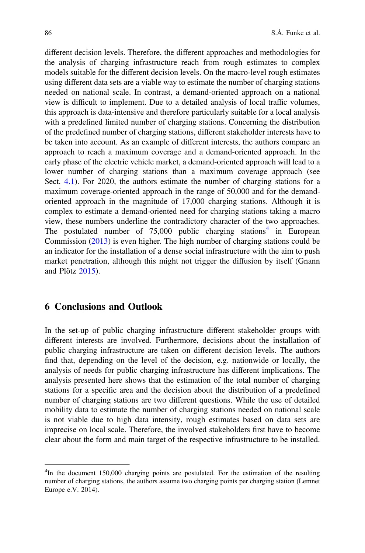<span id="page-13-0"></span>different decision levels. Therefore, the different approaches and methodologies for the analysis of charging infrastructure reach from rough estimates to complex models suitable for the different decision levels. On the macro-level rough estimates using different data sets are a viable way to estimate the number of charging stations needed on national scale. In contrast, a demand-oriented approach on a national view is difficult to implement. Due to a detailed analysis of local traffic volumes, this approach is data-intensive and therefore particularly suitable for a local analysis with a predefined limited number of charging stations. Concerning the distribution of the predefined number of charging stations, different stakeholder interests have to be taken into account. As an example of different interests, the authors compare an approach to reach a maximum coverage and a demand-oriented approach. In the early phase of the electric vehicle market, a demand-oriented approach will lead to a lower number of charging stations than a maximum coverage approach (see Sect. [4.1\)](#page-6-0). For 2020, the authors estimate the number of charging stations for a maximum coverage-oriented approach in the range of 50,000 and for the demandoriented approach in the magnitude of 17,000 charging stations. Although it is complex to estimate a demand-oriented need for charging stations taking a macro view, these numbers underline the contradictory character of the two approaches. The postulated number of  $75,000$  public charging stations<sup>4</sup> in European Commission [\(2013](#page-15-0)) is even higher. The high number of charging stations could be an indicator for the installation of a dense social infrastructure with the aim to push market penetration, although this might not trigger the diffusion by itself (Gnann and Plötz [2015](#page-15-0)).

## 6 Conclusions and Outlook

In the set-up of public charging infrastructure different stakeholder groups with different interests are involved. Furthermore, decisions about the installation of public charging infrastructure are taken on different decision levels. The authors find that, depending on the level of the decision, e.g. nationwide or locally, the analysis of needs for public charging infrastructure has different implications. The analysis presented here shows that the estimation of the total number of charging stations for a specific area and the decision about the distribution of a predefined number of charging stations are two different questions. While the use of detailed mobility data to estimate the number of charging stations needed on national scale is not viable due to high data intensity, rough estimates based on data sets are imprecise on local scale. Therefore, the involved stakeholders first have to become clear about the form and main target of the respective infrastructure to be installed.

<sup>&</sup>lt;sup>4</sup>In the document 150,000 charging points are postulated. For the estimation of the resulting number of charging stations, the authors assume two charging points per charging station (Lemnet Europe e.V. 2014).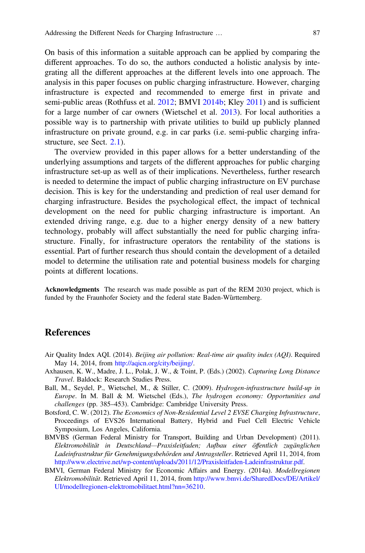<span id="page-14-0"></span>On basis of this information a suitable approach can be applied by comparing the different approaches. To do so, the authors conducted a holistic analysis by integrating all the different approaches at the different levels into one approach. The analysis in this paper focuses on public charging infrastructure. However, charging infrastructure is expected and recommended to emerge first in private and semi-public areas (Rothfuss et al. [2012;](#page-16-0) BMVI [2014b](#page-15-0); Kley [2011\)](#page-16-0) and is sufficient for a large number of car owners (Wietschel et al. [2013\)](#page-17-0). For local authorities a possible way is to partnership with private utilities to build up publicly planned infrastructure on private ground, e.g. in car parks (i.e. semi-public charging infrastructure, see Sect. [2.1](#page-2-0)).

The overview provided in this paper allows for a better understanding of the underlying assumptions and targets of the different approaches for public charging infrastructure set-up as well as of their implications. Nevertheless, further research is needed to determine the impact of public charging infrastructure on EV purchase decision. This is key for the understanding and prediction of real user demand for charging infrastructure. Besides the psychological effect, the impact of technical development on the need for public charging infrastructure is important. An extended driving range, e.g. due to a higher energy density of a new battery technology, probably will affect substantially the need for public charging infrastructure. Finally, for infrastructure operators the rentability of the stations is essential. Part of further research thus should contain the development of a detailed model to determine the utilisation rate and potential business models for charging points at different locations.

Acknowledgments The research was made possible as part of the REM 2030 project, which is funded by the Fraunhofer Society and the federal state Baden-Württemberg.

# References

- Air Quality Index AQI. (2014). Beijing air pollution: Real-time air quality index (AQI). Required May 14, 2014, from <http://aqicn.org/city/beijing/>.
- Axhausen, K. W., Madre, J. L., Polak, J. W., & Toint, P. (Eds.) (2002). Capturing Long Distance Travel. Baldock: Research Studies Press.
- Ball, M., Seydel, P., Wietschel, M., & Stiller, C. (2009). Hydrogen-infrastructure build-up in Europe. In M. Ball & M. Wietschel (Eds.), The hydrogen economy: Opportunities and challenges (pp. 385–453). Cambridge: Cambridge University Press.
- Botsford, C. W. (2012). The Economics of Non-Residential Level 2 EVSE Charging Infrastructure, Proceedings of EVS26 International Battery, Hybrid and Fuel Cell Electric Vehicle Symposium, Los Angeles, California.
- BMVBS (German Federal Ministry for Transport, Building and Urban Development) (2011). Elektromobilität in Deutschland—Praxisleitfaden; Aufbau einer öffentlich zugänglichen Ladeinfrastruktur für Genehmigungsbehörden und Antragsteller. Retrieved April 11, 2014, from <http://www.electrive.net/wp-content/uploads/2011/12/Praxisleitfaden-Ladeinfrastruktur.pdf>.
- BMVI, German Federal Ministry for Economic Affairs and Energy. (2014a). Modellregionen Elektromobilität. Retrieved April 11, 2014, from [http://www.bmvi.de/SharedDocs/DE/Artikel/](http://www.bmvi.de/SharedDocs/DE/Artikel/UI/modellregionen-elektromobilitaet.html?nn=36210) [UI/modellregionen-elektromobilitaet.html?nn=36210.](http://www.bmvi.de/SharedDocs/DE/Artikel/UI/modellregionen-elektromobilitaet.html?nn=36210)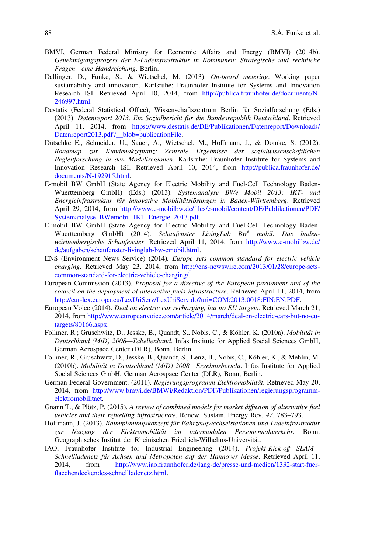- <span id="page-15-0"></span>BMVI, German Federal Ministry for Economic Affairs and Energy (BMVI) (2014b). Genehmigungsprozess der E-Ladeinfrastruktur in Kommunen: Strategische und rechtliche Fragen—eine Handreichung. Berlin.
- Dallinger, D., Funke, S., & Wietschel, M. (2013). On-board metering. Working paper sustainability and innovation. Karlsruhe: Fraunhofer Institute for Systems and Innovation Research ISI. Retrieved April 10, 2014, from [http://publica.fraunhofer.de/documents/N-](http://publica.fraunhofer.de/documents/N-246997.html)[246997.html.](http://publica.fraunhofer.de/documents/N-246997.html)
- Destatis (Federal Statistical Office), Wissenschaftszentrum Berlin für Sozialforschung (Eds.) (2013). Datenreport 2013. Ein Sozialbericht für die Bundesrepublik Deutschland. Retrieved April 11, 2014, from [https://www.destatis.de/DE/Publikationen/Datenreport/Downloads/](https://www.destatis.de/DE/Publikationen/Datenreport/Downloads/Datenreport2013.pdf?__blob=publicationFile) Datenreport2013.pdf? blob=publicationFile.
- Dütschke E., Schneider, U., Sauer, A., Wietschel, M., Hoffmann, J., & Domke, S. (2012). Roadmap zur Kundenakzeptanz: Zentrale Ergebnisse der sozialwissenschaftlichen Begleitforschung in den Modellregionen. Karlsruhe: Fraunhofer Institute for Systems and Innovation Research ISI. Retrieved April 10, 2014, from [http://publica.fraunhofer.de/](http://publica.fraunhofer.de/documents/N-192915.html) [documents/N-192915.html](http://publica.fraunhofer.de/documents/N-192915.html).
- E-mobil BW GmbH (State Agency for Electric Mobility and Fuel-Cell Technology Baden-Wuerttemberg GmbH) (Eds.) (2013). Systemanalyse BWe Mobil 2013; IKT- und Energieinfrastruktur für innovative Mobilitätslösungen in Baden-Württemberg. Retrieved April 29, 2014, from http://www.e-mobilbw.de/fi[les/e-mobil/content/DE/Publikationen/PDF/](http://www.e-mobilbw.de/files/e-mobil/content/DE/Publikationen/PDF/Systemanalyse_BWemobil_IKT_Energie_2013.pdf) [Systemanalyse\\_BWemobil\\_IKT\\_Energie\\_2013.pdf.](http://www.e-mobilbw.de/files/e-mobil/content/DE/Publikationen/PDF/Systemanalyse_BWemobil_IKT_Energie_2013.pdf)
- E-mobil BW GmbH (State Agency for Electric Mobility and Fuel-Cell Technology Baden-Wuerttemberg GmbH) (2014). Schaufenster LivingLab Bw<sup>e</sup> mobil. Das badenwürttembergische Schaufenster. Retrieved April 11, 2014, from [http://www.e-mobilbw.de/](http://www.e-mobilbw.de/de/aufgaben/schaufenster-livinglab-bw-emobil.html) [de/aufgaben/schaufenster-livinglab-bw-emobil.html](http://www.e-mobilbw.de/de/aufgaben/schaufenster-livinglab-bw-emobil.html).
- ENS (Environment News Service) (2014). Europe sets common standard for electric vehicle charging. Retrieved May 23, 2014, from [http://ens-newswire.com/2013/01/28/europe-sets](http://ens-newswire.com/2013/01/28/europe-sets-common-standard-for-electric-vehicle-charging/)[common-standard-for-electric-vehicle-charging/](http://ens-newswire.com/2013/01/28/europe-sets-common-standard-for-electric-vehicle-charging/).
- European Commission (2013). Proposal for a directive of the European parliament and of the council on the deployment of alternative fuels infrastructure. Retrieved April 11, 2014, from <http://eur-lex.europa.eu/LexUriServ/LexUriServ.do?uri=COM:2013:0018:FIN:EN:PDF>.
- European Voice (2014). Deal on electric car recharging, but no EU targets. Retrieved March 21, 2014, from [http://www.europeanvoice.com/article/2014/march/deal-on-electric-cars-but-no-eu](http://www.europeanvoice.com/article/2014/march/deal-on-electric-cars-but-no-eu-targets/80166.aspx)[targets/80166.aspx](http://www.europeanvoice.com/article/2014/march/deal-on-electric-cars-but-no-eu-targets/80166.aspx).
- Follmer, R.; Gruschwitz, D., Jesske, B., Quandt, S., Nobis, C., & Köhler, K. (2010a). Mobilität in Deutschland (MiD) 2008—Tabellenband. Infas Institute for Applied Social Sciences GmbH, German Aerospace Center (DLR), Bonn, Berlin.
- Follmer, R., Gruschwitz, D., Jesske, B., Quandt, S., Lenz, B., Nobis, C., Köhler, K., & Mehlin, M. (2010b). Mobilität in Deutschland (MiD) 2008—Ergebnisbericht. Infas Institute for Applied Social Sciences GmbH, German Aerospace Center (DLR), Bonn, Berlin.
- German Federal Government. (2011). Regierungsprogramm Elektromobilität. Retrieved May 20, 2014, from [http://www.bmwi.de/BMWi/Redaktion/PDF/Publikationen/regierungsprogramm](http://www.bmwi.de/BMWi/Redaktion/PDF/Publikationen/regierungsprogramm-elektromobilitaet)[elektromobilitaet.](http://www.bmwi.de/BMWi/Redaktion/PDF/Publikationen/regierungsprogramm-elektromobilitaet)
- Gnann T., & Plötz, P. (2015). A review of combined models for market diffusion of alternative fuel vehicles and their refuelling infrastructure. Renew. Sustain. Energy Rev. 47, 783–793.
- Hoffmann, J. (2013). Raumplanungskonzept für Fahrzeugwechselstationen und Ladeinfrastruktur zur Nutzung der Elektromobilität im intermodalen Personennahverkehr. Bonn: Geographisches Institut der Rheinischen Friedrich-Wilhelms-Universität.
- IAO, Fraunhofer Institute for Industrial Engineering (2014). Projekt-Kick-off SLAM— Schnellladenetz für Achsen und Metropolen auf der Hannover Messe. Retrieved April 11, 2014, from [http://www.iao.fraunhofer.de/lang-de/presse-und-medien/1332-start-fuer](http://www.iao.fraunhofer.de/lang-de/presse-und-medien/1332-start-fuer-flaechendeckendes-schnellladenetz.html)fl[aechendeckendes-schnellladenetz.html.](http://www.iao.fraunhofer.de/lang-de/presse-und-medien/1332-start-fuer-flaechendeckendes-schnellladenetz.html)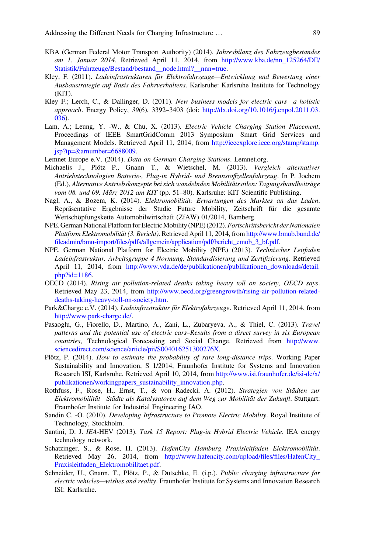- <span id="page-16-0"></span>KBA (German Federal Motor Transport Authority) (2014). Jahresbilanz des Fahrzeugbestandes am 1. Januar 2014. Retrieved April 11, 2014, from [http://www.kba.de/nn\\_125264/DE/](http://www.kba.de/nn_125264/DE/Statistik/Fahrzeuge/Bestand/bestand__node.html?__nnn=true) [Statistik/Fahrzeuge/Bestand/bestand\\_\\_node.html?\\_\\_nnn=true.](http://www.kba.de/nn_125264/DE/Statistik/Fahrzeuge/Bestand/bestand__node.html?__nnn=true)
- Kley, F. (2011). Ladeinfrastrukturen für Elektrofahrzeuge—Entwicklung und Bewertung einer Ausbaustrategie auf Basis des Fahrverhaltens. Karlsruhe: Karlsruhe Institute for Technology (KIT).
- Kley F.; Lerch, C., & Dallinger, D. (2011). New business models for electric cars—a holistic approach. Energy Policy, 39(6), 3392–3403 (doi: [http://dx.doi.org/10.1016/j.enpol.2011.03.](http://dx.doi.org/10.1016/j.enpol.2011.03.036) [036](http://dx.doi.org/10.1016/j.enpol.2011.03.036)).
- Lam, A.; Leung, Y. -W., & Chu, X. (2013). Electric Vehicle Charging Station Placement, Proceedings of IEEE SmartGridComm 2013 Symposium—Smart Grid Services and Management Models. Retrieved April 11, 2014, from [http://ieeexplore.ieee.org/stamp/stamp.](http://ieeexplore.ieee.org/stamp/stamp.jsp?tp=&arnumber=6688009) [jsp?tp=&arnumber=6688009.](http://ieeexplore.ieee.org/stamp/stamp.jsp?tp=&arnumber=6688009)
- Lemnet Europe e.V. (2014). Data on German Charging Stations. Lemnet.org.
- Michaelis J., Plötz P., Gnann T., & Wietschel, M. (2013). Vergleich alternativer Antriebstechnologien Batterie-, Plug-in Hybrid- und Brennstoffzellenfahrzeug. In P. Jochem (Ed.), Alternative Antriebskonzepte bei sich wandelnden Mobilitätsstilen: Tagungsbandbeiträge vom 08. und 09. März 2012 am KIT (pp. 51–80). Karlsruhe: KIT Scientific Publishing.
- Nagl, A., & Bozem, K. (2014). Elektromobilität: Erwartungen des Marktes an das Laden. Repräsentative Ergebnisse der Studie Future Mobility, Zeitschrift für die gesamte Wertschöpfungskette Automobilwirtschaft (ZfAW) 01/2014, Bamberg.
- NPE. German National Platform for Electric Mobility (NPE) (2012). Fortschrittsbericht der Nationalen Plattform Elektromobilität (3. Bericht). Retrieved April 11, 2014, from [http://www.bmub.bund.de/](http://www.bmub.bund.de/fileadmin/bmu-import/files/pdfs/allgemein/application/pdf/bericht_emob_3_bf.pdf) fileadmin/bmu-import/fi[les/pdfs/allgemein/application/pdf/bericht\\_emob\\_3\\_bf.pdf](http://www.bmub.bund.de/fileadmin/bmu-import/files/pdfs/allgemein/application/pdf/bericht_emob_3_bf.pdf).
- NPE. German National Platform for Electric Mobility (NPE) (2013). Technischer Leitfaden Ladeinfrastruktur. Arbeitsgruppe 4 Normung, Standardisierung und Zertifizierung. Retrieved April 11, 2014, from [http://www.vda.de/de/publikationen/publikationen\\_downloads/detail.](http://www.vda.de/de/publikationen/publikationen_downloads/detail.php?id=1186) [php?id=1186](http://www.vda.de/de/publikationen/publikationen_downloads/detail.php?id=1186).
- OECD (2014). Rising air pollution-related deaths taking heavy toll on society, OECD says. Retrieved May 23, 2014, from [http://www.oecd.org/greengrowth/rising-air-pollution-related](http://www.oecd.org/greengrowth/rising-air-pollution-related-deaths-taking-heavy-toll-on-society.htm)[deaths-taking-heavy-toll-on-society.htm](http://www.oecd.org/greengrowth/rising-air-pollution-related-deaths-taking-heavy-toll-on-society.htm).
- Park&Charge e.V. (2014). Ladeinfrastruktur für Elektrofahrzeuge. Retrieved April 11, 2014, from <http://www.park-charge.de/>.
- Pasaoglu, G., Fiorello, D., Martino, A., Zani, L., Zubaryeva, A., & Thiel, C. (2013). Travel patterns and the potential use of electric cars–Results from a direct survey in six European countries, Technological Forecasting and Social Change. Retrieved from [http://www.](http://www.sciencedirect.com/science/article/pii/S004016251300276X) [sciencedirect.com/science/article/pii/S004016251300276X.](http://www.sciencedirect.com/science/article/pii/S004016251300276X)
- Plötz, P. (2014). How to estimate the probability of rare long-distance trips. Working Paper Sustainability and Innovation, S 1/2014, Fraunhofer Institute for Systems and Innovation Research ISI, Karlsruhe. Retrieved April 10, 2014, from [http://www.isi.fraunhofer.de/isi-de/x/](http://www.isi.fraunhofer.de/isi-de/x/publikationen/workingpapers_sustainability_innovation.php) [publikationen/workingpapers\\_sustainability\\_innovation.php](http://www.isi.fraunhofer.de/isi-de/x/publikationen/workingpapers_sustainability_innovation.php).
- Rothfuss, F., Rose, H., Ernst, T., & von Radecki, A. (2012). Strategien von Städten zur Elektromobilität—Städte als Katalysatoren auf dem Weg zur Mobilität der Zukunft. Stuttgart: Fraunhofer Institute for Industrial Engineering IAO.
- Sandin C. -O. (2010). Developing Infrastructure to Promote Electric Mobility. Royal Institute of Technology, Stockholm.
- Santini, D. J. IEA-HEV (2013). Task 15 Report: Plug-in Hybrid Electric Vehicle. IEA energy technology network.
- Schatzinger, S., & Rose, H. (2013). HafenCity Hamburg Praxisleitfaden Elektromobilität. Retrieved May 26, 2014, from [http://www.hafencity.com/upload/](http://www.hafencity.com/upload/files/files/HafenCity_Praxisleitfaden_Elektromobilitaet.pdf)files/files/HafenCity\_ [Praxisleitfaden\\_Elektromobilitaet.pdf.](http://www.hafencity.com/upload/files/files/HafenCity_Praxisleitfaden_Elektromobilitaet.pdf)
- Schneider, U., Gnann, T., Plötz, P., & Dütschke, E. (i.p.). Public charging infrastructure for electric vehicles—wishes and reality. Fraunhofer Institute for Systems and Innovation Research ISI: Karlsruhe.